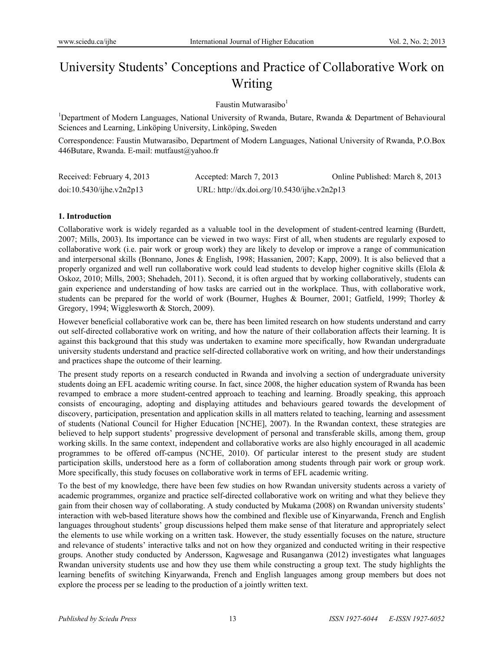# University Students' Conceptions and Practice of Collaborative Work on Writing

## Faustin Mutwarasibo $<sup>1</sup>$ </sup>

<sup>1</sup>Department of Modern Languages, National University of Rwanda, Butare, Rwanda & Department of Behavioural Sciences and Learning, Linköping University, Linköping, Sweden

Correspondence: Faustin Mutwarasibo, Department of Modern Languages, National University of Rwanda, P.O.Box 446Butare, Rwanda. E-mail: mutfaust@yahoo.fr

| Received: February 4, 2013 | Accepted: March 7, 2013                     | Online Published: March 8, 2013 |
|----------------------------|---------------------------------------------|---------------------------------|
| doi:10.5430/ijhe.v2n2p13   | URL: http://dx.doi.org/10.5430/ijhe.v2n2p13 |                                 |

## **1. Introduction**

Collaborative work is widely regarded as a valuable tool in the development of student-centred learning (Burdett, 2007; Mills, 2003). Its importance can be viewed in two ways: First of all, when students are regularly exposed to collaborative work (i.e. pair work or group work) they are likely to develop or improve a range of communication and interpersonal skills (Bonnano, Jones & English, 1998; Hassanien, 2007; Kapp, 2009). It is also believed that a properly organized and well run collaborative work could lead students to develop higher cognitive skills (Elola & Oskoz, 2010; Mills, 2003; Shehadeh, 2011). Second, it is often argued that by working collaboratively, students can gain experience and understanding of how tasks are carried out in the workplace. Thus, with collaborative work, students can be prepared for the world of work (Bourner, Hughes & Bourner, 2001; Gatfield, 1999; Thorley & Gregory, 1994; Wigglesworth & Storch, 2009).

However beneficial collaborative work can be, there has been limited research on how students understand and carry out self-directed collaborative work on writing, and how the nature of their collaboration affects their learning. It is against this background that this study was undertaken to examine more specifically, how Rwandan undergraduate university students understand and practice self-directed collaborative work on writing, and how their understandings and practices shape the outcome of their learning.

The present study reports on a research conducted in Rwanda and involving a section of undergraduate university students doing an EFL academic writing course. In fact, since 2008, the higher education system of Rwanda has been revamped to embrace a more student-centred approach to teaching and learning. Broadly speaking, this approach consists of encouraging, adopting and displaying attitudes and behaviours geared towards the development of discovery, participation, presentation and application skills in all matters related to teaching, learning and assessment of students (National Council for Higher Education [NCHE], 2007). In the Rwandan context, these strategies are believed to help support students' progressive development of personal and transferable skills, among them, group working skills. In the same context, independent and collaborative works are also highly encouraged in all academic programmes to be offered off-campus (NCHE, 2010). Of particular interest to the present study are student participation skills, understood here as a form of collaboration among students through pair work or group work. More specifically, this study focuses on collaborative work in terms of EFL academic writing.

To the best of my knowledge, there have been few studies on how Rwandan university students across a variety of academic programmes, organize and practice self-directed collaborative work on writing and what they believe they gain from their chosen way of collaborating. A study conducted by Mukama (2008) on Rwandan university students' interaction with web-based literature shows how the combined and flexible use of Kinyarwanda, French and English languages throughout students' group discussions helped them make sense of that literature and appropriately select the elements to use while working on a written task. However, the study essentially focuses on the nature, structure and relevance of students' interactive talks and not on how they organized and conducted writing in their respective groups. Another study conducted by Andersson, Kagwesage and Rusanganwa (2012) investigates what languages Rwandan university students use and how they use them while constructing a group text. The study highlights the learning benefits of switching Kinyarwanda, French and English languages among group members but does not explore the process per se leading to the production of a jointly written text.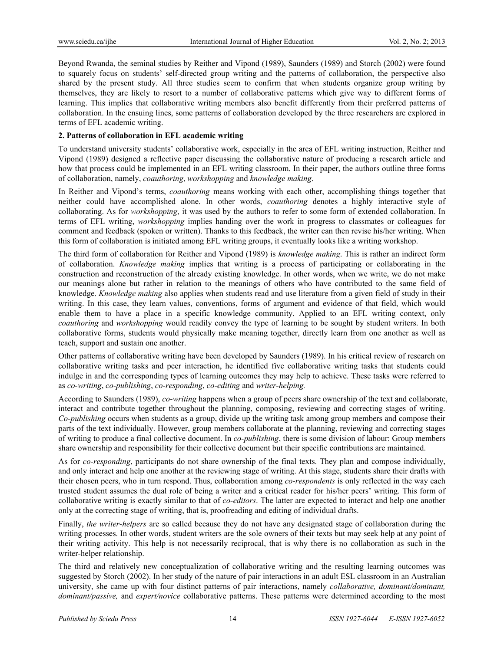Beyond Rwanda, the seminal studies by Reither and Vipond (1989), Saunders (1989) and Storch (2002) were found to squarely focus on students' self-directed group writing and the patterns of collaboration, the perspective also shared by the present study. All three studies seem to confirm that when students organize group writing by themselves, they are likely to resort to a number of collaborative patterns which give way to different forms of learning. This implies that collaborative writing members also benefit differently from their preferred patterns of collaboration. In the ensuing lines, some patterns of collaboration developed by the three researchers are explored in terms of EFL academic writing.

## **2. Patterns of collaboration in EFL academic writing**

To understand university students' collaborative work, especially in the area of EFL writing instruction, Reither and Vipond (1989) designed a reflective paper discussing the collaborative nature of producing a research article and how that process could be implemented in an EFL writing classroom. In their paper, the authors outline three forms of collaboration, namely, *coauthoring*, *workshopping* and *knowledge making*.

In Reither and Vipond's terms, *coauthoring* means working with each other, accomplishing things together that neither could have accomplished alone. In other words, *coauthoring* denotes a highly interactive style of collaborating. As for *workshopping*, it was used by the authors to refer to some form of extended collaboration. In terms of EFL writing, *workshopping* implies handing over the work in progress to classmates or colleagues for comment and feedback (spoken or written). Thanks to this feedback, the writer can then revise his/her writing. When this form of collaboration is initiated among EFL writing groups, it eventually looks like a writing workshop.

The third form of collaboration for Reither and Vipond (1989) is *knowledge making*. This is rather an indirect form of collaboration. *Knowledge making* implies that writing is a process of participating or collaborating in the construction and reconstruction of the already existing knowledge. In other words, when we write, we do not make our meanings alone but rather in relation to the meanings of others who have contributed to the same field of knowledge. *Knowledge making* also applies when students read and use literature from a given field of study in their writing. In this case, they learn values, conventions, forms of argument and evidence of that field, which would enable them to have a place in a specific knowledge community. Applied to an EFL writing context, only *coauthoring* and *workshopping* would readily convey the type of learning to be sought by student writers. In both collaborative forms, students would physically make meaning together, directly learn from one another as well as teach, support and sustain one another.

Other patterns of collaborative writing have been developed by Saunders (1989). In his critical review of research on collaborative writing tasks and peer interaction, he identified five collaborative writing tasks that students could indulge in and the corresponding types of learning outcomes they may help to achieve. These tasks were referred to as *co-writing*, *co-publishing*, *co-responding*, *co-editing* and *writer-helping.*

According to Saunders (1989), *co-writing* happens when a group of peers share ownership of the text and collaborate, interact and contribute together throughout the planning, composing, reviewing and correcting stages of writing. *Co-publishing* occurs when students as a group, divide up the writing task among group members and compose their parts of the text individually. However, group members collaborate at the planning, reviewing and correcting stages of writing to produce a final collective document. In *co-publishing*, there is some division of labour: Group members share ownership and responsibility for their collective document but their specific contributions are maintained.

As for *co-responding*, participants do not share ownership of the final texts. They plan and compose individually, and only interact and help one another at the reviewing stage of writing. At this stage, students share their drafts with their chosen peers, who in turn respond. Thus, collaboration among *co-respondents* is only reflected in the way each trusted student assumes the dual role of being a writer and a critical reader for his/her peers' writing. This form of collaborative writing is exactly similar to that of *co-editors*. The latter are expected to interact and help one another only at the correcting stage of writing, that is, proofreading and editing of individual drafts.

Finally, *the writer-helpers* are so called because they do not have any designated stage of collaboration during the writing processes. In other words, student writers are the sole owners of their texts but may seek help at any point of their writing activity. This help is not necessarily reciprocal, that is why there is no collaboration as such in the writer-helper relationship.

The third and relatively new conceptualization of collaborative writing and the resulting learning outcomes was suggested by Storch (2002). In her study of the nature of pair interactions in an adult ESL classroom in an Australian university, she came up with four distinct patterns of pair interactions, namely *collaborative, dominant/dominant, dominant/passive,* and *expert/novice* collaborative patterns. These patterns were determined according to the most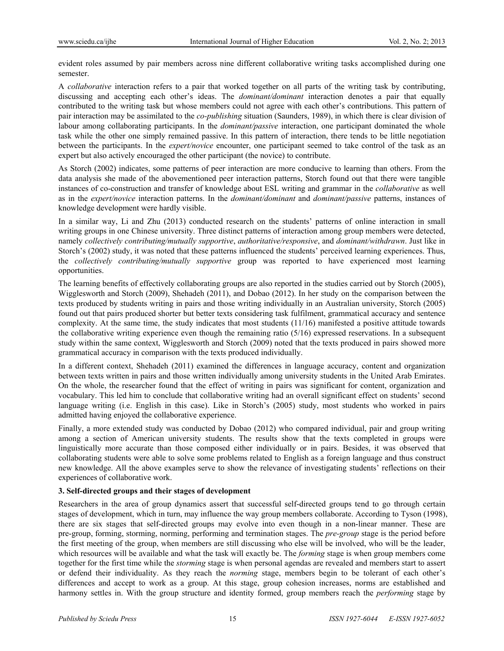evident roles assumed by pair members across nine different collaborative writing tasks accomplished during one semester.

A *collaborative* interaction refers to a pair that worked together on all parts of the writing task by contributing, discussing and accepting each other's ideas. The *dominant/dominant* interaction denotes a pair that equally contributed to the writing task but whose members could not agree with each other's contributions. This pattern of pair interaction may be assimilated to the *co-publishing* situation (Saunders, 1989), in which there is clear division of labour among collaborating participants. In the *dominant/passive* interaction, one participant dominated the whole task while the other one simply remained passive. In this pattern of interaction, there tends to be little negotiation between the participants. In the *expert/novice* encounter, one participant seemed to take control of the task as an expert but also actively encouraged the other participant (the novice) to contribute.

As Storch (2002) indicates, some patterns of peer interaction are more conducive to learning than others. From the data analysis she made of the abovementioned peer interaction patterns, Storch found out that there were tangible instances of co-construction and transfer of knowledge about ESL writing and grammar in the *collaborative* as well as in the *expert/novice* interaction patterns. In the *dominant/dominant* and *dominant/passive* patterns, instances of knowledge development were hardly visible.

In a similar way, Li and Zhu (2013) conducted research on the students' patterns of online interaction in small writing groups in one Chinese university. Three distinct patterns of interaction among group members were detected, namely *collectively contributing/mutually supportive*, *authoritative/responsive*, and *dominant/withdrawn*. Just like in Storch's (2002) study, it was noted that these patterns influenced the students' perceived learning experiences. Thus, the *collectively contributing/mutually supportive* group was reported to have experienced most learning opportunities.

The learning benefits of effectively collaborating groups are also reported in the studies carried out by Storch (2005), Wigglesworth and Storch (2009), Shehadeh (2011), and Dobao (2012). In her study on the comparison between the texts produced by students writing in pairs and those writing individually in an Australian university, Storch (2005) found out that pairs produced shorter but better texts considering task fulfilment, grammatical accuracy and sentence complexity. At the same time, the study indicates that most students (11/16) manifested a positive attitude towards the collaborative writing experience even though the remaining ratio (5/16) expressed reservations. In a subsequent study within the same context, Wigglesworth and Storch (2009) noted that the texts produced in pairs showed more grammatical accuracy in comparison with the texts produced individually.

In a different context, Shehadeh (2011) examined the differences in language accuracy, content and organization between texts written in pairs and those written individually among university students in the United Arab Emirates. On the whole, the researcher found that the effect of writing in pairs was significant for content, organization and vocabulary. This led him to conclude that collaborative writing had an overall significant effect on students' second language writing (i.e. English in this case). Like in Storch's (2005) study, most students who worked in pairs admitted having enjoyed the collaborative experience.

Finally, a more extended study was conducted by Dobao (2012) who compared individual, pair and group writing among a section of American university students. The results show that the texts completed in groups were linguistically more accurate than those composed either individually or in pairs. Besides, it was observed that collaborating students were able to solve some problems related to English as a foreign language and thus construct new knowledge. All the above examples serve to show the relevance of investigating students' reflections on their experiences of collaborative work.

## **3. Self-directed groups and their stages of development**

Researchers in the area of group dynamics assert that successful self-directed groups tend to go through certain stages of development, which in turn, may influence the way group members collaborate. According to Tyson (1998), there are six stages that self-directed groups may evolve into even though in a non-linear manner. These are pre-group, forming, storming, norming, performing and termination stages. The *pre-group* stage is the period before the first meeting of the group, when members are still discussing who else will be involved, who will be the leader, which resources will be available and what the task will exactly be. The *forming* stage is when group members come together for the first time while the *storming* stage is when personal agendas are revealed and members start to assert or defend their individuality. As they reach the *norming* stage, members begin to be tolerant of each other's differences and accept to work as a group. At this stage, group cohesion increases, norms are established and harmony settles in. With the group structure and identity formed, group members reach the *performing* stage by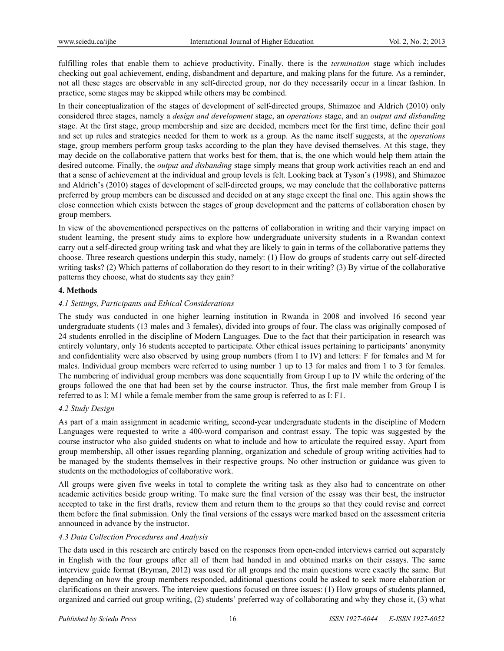fulfilling roles that enable them to achieve productivity. Finally, there is the *termination* stage which includes checking out goal achievement, ending, disbandment and departure, and making plans for the future. As a reminder, not all these stages are observable in any self-directed group, nor do they necessarily occur in a linear fashion. In practice, some stages may be skipped while others may be combined.

In their conceptualization of the stages of development of self-directed groups, Shimazoe and Aldrich (2010) only considered three stages, namely a *design and development* stage, an *operations* stage, and an *output and disbanding* stage. At the first stage, group membership and size are decided, members meet for the first time, define their goal and set up rules and strategies needed for them to work as a group. As the name itself suggests, at the *operations* stage, group members perform group tasks according to the plan they have devised themselves. At this stage, they may decide on the collaborative pattern that works best for them, that is, the one which would help them attain the desired outcome. Finally, the *output and disbanding* stage simply means that group work activities reach an end and that a sense of achievement at the individual and group levels is felt. Looking back at Tyson's (1998), and Shimazoe and Aldrich's (2010) stages of development of self-directed groups, we may conclude that the collaborative patterns preferred by group members can be discussed and decided on at any stage except the final one. This again shows the close connection which exists between the stages of group development and the patterns of collaboration chosen by group members.

In view of the abovementioned perspectives on the patterns of collaboration in writing and their varying impact on student learning, the present study aims to explore how undergraduate university students in a Rwandan context carry out a self-directed group writing task and what they are likely to gain in terms of the collaborative patterns they choose. Three research questions underpin this study, namely: (1) How do groups of students carry out self-directed writing tasks? (2) Which patterns of collaboration do they resort to in their writing? (3) By virtue of the collaborative patterns they choose, what do students say they gain?

## **4. Methods**

## *4.1 Settings, Participants and Ethical Considerations*

The study was conducted in one higher learning institution in Rwanda in 2008 and involved 16 second year undergraduate students (13 males and 3 females), divided into groups of four. The class was originally composed of 24 students enrolled in the discipline of Modern Languages. Due to the fact that their participation in research was entirely voluntary, only 16 students accepted to participate. Other ethical issues pertaining to participants' anonymity and confidentiality were also observed by using group numbers (from I to IV) and letters: F for females and M for males. Individual group members were referred to using number 1 up to 13 for males and from 1 to 3 for females. The numbering of individual group members was done sequentially from Group I up to IV while the ordering of the groups followed the one that had been set by the course instructor. Thus, the first male member from Group I is referred to as I: M1 while a female member from the same group is referred to as I: F1.

## *4.2 Study Design*

As part of a main assignment in academic writing, second-year undergraduate students in the discipline of Modern Languages were requested to write a 400-word comparison and contrast essay. The topic was suggested by the course instructor who also guided students on what to include and how to articulate the required essay. Apart from group membership, all other issues regarding planning, organization and schedule of group writing activities had to be managed by the students themselves in their respective groups. No other instruction or guidance was given to students on the methodologies of collaborative work.

All groups were given five weeks in total to complete the writing task as they also had to concentrate on other academic activities beside group writing. To make sure the final version of the essay was their best, the instructor accepted to take in the first drafts, review them and return them to the groups so that they could revise and correct them before the final submission. Only the final versions of the essays were marked based on the assessment criteria announced in advance by the instructor.

## *4.3 Data Collection Procedures and Analysis*

The data used in this research are entirely based on the responses from open-ended interviews carried out separately in English with the four groups after all of them had handed in and obtained marks on their essays. The same interview guide format (Bryman, 2012) was used for all groups and the main questions were exactly the same. But depending on how the group members responded, additional questions could be asked to seek more elaboration or clarifications on their answers. The interview questions focused on three issues: (1) How groups of students planned, organized and carried out group writing, (2) students' preferred way of collaborating and why they chose it, (3) what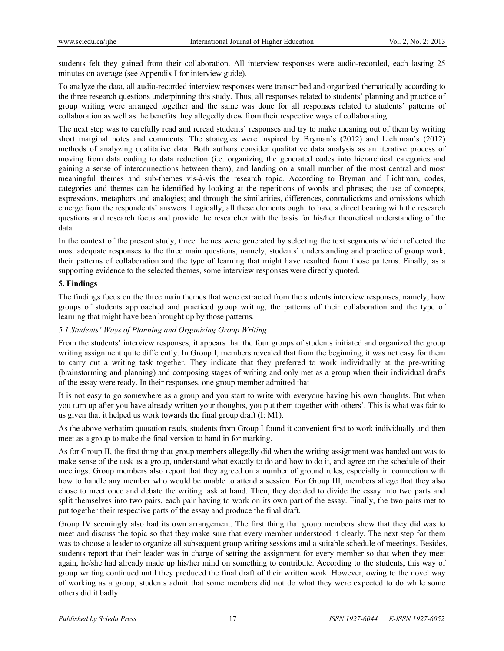students felt they gained from their collaboration. All interview responses were audio-recorded, each lasting 25 minutes on average (see Appendix I for interview guide).

To analyze the data, all audio-recorded interview responses were transcribed and organized thematically according to the three research questions underpinning this study. Thus, all responses related to students' planning and practice of group writing were arranged together and the same was done for all responses related to students' patterns of collaboration as well as the benefits they allegedly drew from their respective ways of collaborating.

The next step was to carefully read and reread students' responses and try to make meaning out of them by writing short marginal notes and comments. The strategies were inspired by Bryman's (2012) and Lichtman's (2012) methods of analyzing qualitative data. Both authors consider qualitative data analysis as an iterative process of moving from data coding to data reduction (i.e. organizing the generated codes into hierarchical categories and gaining a sense of interconnections between them), and landing on a small number of the most central and most meaningful themes and sub-themes vis-à-vis the research topic. According to Bryman and Lichtman, codes, categories and themes can be identified by looking at the repetitions of words and phrases; the use of concepts, expressions, metaphors and analogies; and through the similarities, differences, contradictions and omissions which emerge from the respondents' answers. Logically, all these elements ought to have a direct bearing with the research questions and research focus and provide the researcher with the basis for his/her theoretical understanding of the data.

In the context of the present study, three themes were generated by selecting the text segments which reflected the most adequate responses to the three main questions, namely, students' understanding and practice of group work, their patterns of collaboration and the type of learning that might have resulted from those patterns. Finally, as a supporting evidence to the selected themes, some interview responses were directly quoted.

### **5. Findings**

The findings focus on the three main themes that were extracted from the students interview responses, namely, how groups of students approached and practiced group writing, the patterns of their collaboration and the type of learning that might have been brought up by those patterns.

## *5.1 Students' Ways of Planning and Organizing Group Writing*

From the students' interview responses, it appears that the four groups of students initiated and organized the group writing assignment quite differently. In Group I, members revealed that from the beginning, it was not easy for them to carry out a writing task together. They indicate that they preferred to work individually at the pre-writing (brainstorming and planning) and composing stages of writing and only met as a group when their individual drafts of the essay were ready. In their responses, one group member admitted that

It is not easy to go somewhere as a group and you start to write with everyone having his own thoughts. But when you turn up after you have already written your thoughts, you put them together with others'. This is what was fair to us given that it helped us work towards the final group draft (I: M1).

As the above verbatim quotation reads, students from Group I found it convenient first to work individually and then meet as a group to make the final version to hand in for marking.

As for Group II, the first thing that group members allegedly did when the writing assignment was handed out was to make sense of the task as a group, understand what exactly to do and how to do it, and agree on the schedule of their meetings. Group members also report that they agreed on a number of ground rules, especially in connection with how to handle any member who would be unable to attend a session. For Group III, members allege that they also chose to meet once and debate the writing task at hand. Then, they decided to divide the essay into two parts and split themselves into two pairs, each pair having to work on its own part of the essay. Finally, the two pairs met to put together their respective parts of the essay and produce the final draft.

Group IV seemingly also had its own arrangement. The first thing that group members show that they did was to meet and discuss the topic so that they make sure that every member understood it clearly. The next step for them was to choose a leader to organize all subsequent group writing sessions and a suitable schedule of meetings. Besides, students report that their leader was in charge of setting the assignment for every member so that when they meet again, he/she had already made up his/her mind on something to contribute. According to the students, this way of group writing continued until they produced the final draft of their written work. However, owing to the novel way of working as a group, students admit that some members did not do what they were expected to do while some others did it badly.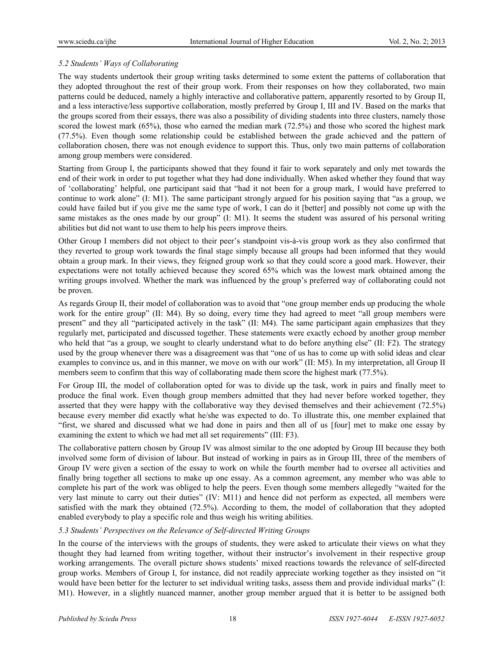## *5.2 Students' Ways of Collaborating*

The way students undertook their group writing tasks determined to some extent the patterns of collaboration that they adopted throughout the rest of their group work. From their responses on how they collaborated, two main patterns could be deduced, namely a highly interactive and collaborative pattern, apparently resorted to by Group II, and a less interactive/less supportive collaboration, mostly preferred by Group I, III and IV. Based on the marks that the groups scored from their essays, there was also a possibility of dividing students into three clusters, namely those scored the lowest mark (65%), those who earned the median mark (72.5%) and those who scored the highest mark (77.5%). Even though some relationship could be established between the grade achieved and the pattern of collaboration chosen, there was not enough evidence to support this. Thus, only two main patterns of collaboration among group members were considered.

Starting from Group I, the participants showed that they found it fair to work separately and only met towards the end of their work in order to put together what they had done individually. When asked whether they found that way of 'collaborating' helpful, one participant said that "had it not been for a group mark, I would have preferred to continue to work alone" (I: M1). The same participant strongly argued for his position saying that "as a group, we could have failed but if you give me the same type of work, I can do it [better] and possibly not come up with the same mistakes as the ones made by our group" (I: M1). It seems the student was assured of his personal writing abilities but did not want to use them to help his peers improve theirs.

Other Group I members did not object to their peer's standpoint vis-à-vis group work as they also confirmed that they reverted to group work towards the final stage simply because all groups had been informed that they would obtain a group mark. In their views, they feigned group work so that they could score a good mark. However, their expectations were not totally achieved because they scored 65% which was the lowest mark obtained among the writing groups involved. Whether the mark was influenced by the group's preferred way of collaborating could not be proven.

As regards Group II, their model of collaboration was to avoid that "one group member ends up producing the whole work for the entire group" (II: M4). By so doing, every time they had agreed to meet "all group members were present" and they all "participated actively in the task" (II: M4). The same participant again emphasizes that they regularly met, participated and discussed together. These statements were exactly echoed by another group member who held that "as a group, we sought to clearly understand what to do before anything else" (II: F2). The strategy used by the group whenever there was a disagreement was that "one of us has to come up with solid ideas and clear examples to convince us, and in this manner, we move on with our work" (II: M5). In my interpretation, all Group II members seem to confirm that this way of collaborating made them score the highest mark (77.5%).

For Group III, the model of collaboration opted for was to divide up the task, work in pairs and finally meet to produce the final work. Even though group members admitted that they had never before worked together, they asserted that they were happy with the collaborative way they devised themselves and their achievement (72.5%) because every member did exactly what he/she was expected to do. To illustrate this, one member explained that "first, we shared and discussed what we had done in pairs and then all of us [four] met to make one essay by examining the extent to which we had met all set requirements" (III: F3).

The collaborative pattern chosen by Group IV was almost similar to the one adopted by Group III because they both involved some form of division of labour. But instead of working in pairs as in Group III, three of the members of Group IV were given a section of the essay to work on while the fourth member had to oversee all activities and finally bring together all sections to make up one essay. As a common agreement, any member who was able to complete his part of the work was obliged to help the peers. Even though some members allegedly "waited for the very last minute to carry out their duties" (IV: M11) and hence did not perform as expected, all members were satisfied with the mark they obtained (72.5%). According to them, the model of collaboration that they adopted enabled everybody to play a specific role and thus weigh his writing abilities.

## *5.3 Students' Perspectives on the Relevance of Self-directed Writing Groups*

In the course of the interviews with the groups of students, they were asked to articulate their views on what they thought they had learned from writing together, without their instructor's involvement in their respective group working arrangements. The overall picture shows students' mixed reactions towards the relevance of self-directed group works. Members of Group I, for instance, did not readily appreciate working together as they insisted on "it would have been better for the lecturer to set individual writing tasks, assess them and provide individual marks" (I: M1). However, in a slightly nuanced manner, another group member argued that it is better to be assigned both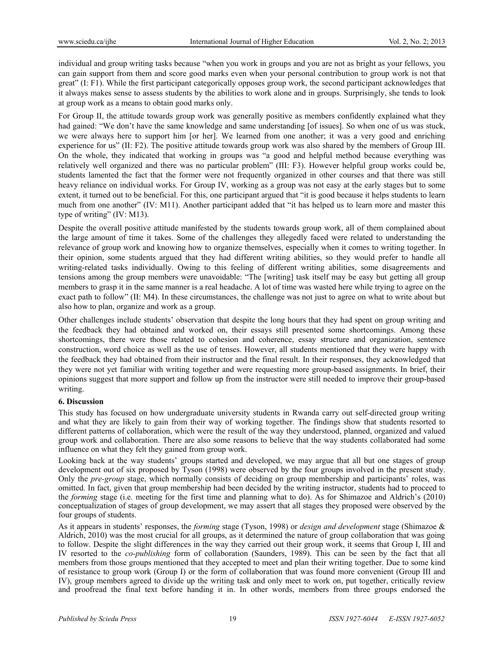individual and group writing tasks because "when you work in groups and you are not as bright as your fellows, you can gain support from them and score good marks even when your personal contribution to group work is not that great" (I: F1). While the first participant categorically opposes group work, the second participant acknowledges that it always makes sense to assess students by the abilities to work alone and in groups. Surprisingly, she tends to look at group work as a means to obtain good marks only.

For Group II, the attitude towards group work was generally positive as members confidently explained what they had gained: "We don't have the same knowledge and same understanding [of issues]. So when one of us was stuck, we were always here to support him [or her]. We learned from one another; it was a very good and enriching experience for us" (II: F2). The positive attitude towards group work was also shared by the members of Group III. On the whole, they indicated that working in groups was "a good and helpful method because everything was relatively well organized and there was no particular problem" (III: F3). However helpful group works could be, students lamented the fact that the former were not frequently organized in other courses and that there was still heavy reliance on individual works. For Group IV, working as a group was not easy at the early stages but to some extent, it turned out to be beneficial. For this, one participant argued that "it is good because it helps students to learn much from one another" (IV: M11). Another participant added that "it has helped us to learn more and master this type of writing" (IV: M13).

Despite the overall positive attitude manifested by the students towards group work, all of them complained about the large amount of time it takes. Some of the challenges they allegedly faced were related to understanding the relevance of group work and knowing how to organize themselves, especially when it comes to writing together. In their opinion, some students argued that they had different writing abilities, so they would prefer to handle all writing-related tasks individually. Owing to this feeling of different writing abilities, some disagreements and tensions among the group members were unavoidable: "The [writing] task itself may be easy but getting all group members to grasp it in the same manner is a real headache. A lot of time was wasted here while trying to agree on the exact path to follow" (II: M4). In these circumstances, the challenge was not just to agree on what to write about but also how to plan, organize and work as a group.

Other challenges include students' observation that despite the long hours that they had spent on group writing and the feedback they had obtained and worked on, their essays still presented some shortcomings. Among these shortcomings, there were those related to cohesion and coherence, essay structure and organization, sentence construction, word choice as well as the use of tenses. However, all students mentioned that they were happy with the feedback they had obtained from their instructor and the final result. In their responses, they acknowledged that they were not yet familiar with writing together and were requesting more group-based assignments. In brief, their opinions suggest that more support and follow up from the instructor were still needed to improve their group-based writing.

## **6. Discussion**

This study has focused on how undergraduate university students in Rwanda carry out self-directed group writing and what they are likely to gain from their way of working together. The findings show that students resorted to different patterns of collaboration, which were the result of the way they understood, planned, organized and valued group work and collaboration. There are also some reasons to believe that the way students collaborated had some influence on what they felt they gained from group work.

Looking back at the way students' groups started and developed, we may argue that all but one stages of group development out of six proposed by Tyson (1998) were observed by the four groups involved in the present study. Only the *pre-group* stage, which normally consists of deciding on group membership and participants' roles, was omitted. In fact, given that group membership had been decided by the writing instructor, students had to proceed to the *forming* stage (i.e. meeting for the first time and planning what to do). As for Shimazoe and Aldrich's (2010) conceptualization of stages of group development, we may assert that all stages they proposed were observed by the four groups of students.

As it appears in students' responses, the *forming* stage (Tyson, 1998) or *design and development* stage (Shimazoe & Aldrich, 2010) was the most crucial for all groups, as it determined the nature of group collaboration that was going to follow. Despite the slight differences in the way they carried out their group work, it seems that Group I, III and IV resorted to the *co-publishing* form of collaboration (Saunders, 1989). This can be seen by the fact that all members from those groups mentioned that they accepted to meet and plan their writing together. Due to some kind of resistance to group work (Group I) or the form of collaboration that was found more convenient (Group III and IV), group members agreed to divide up the writing task and only meet to work on, put together, critically review and proofread the final text before handing it in. In other words, members from three groups endorsed the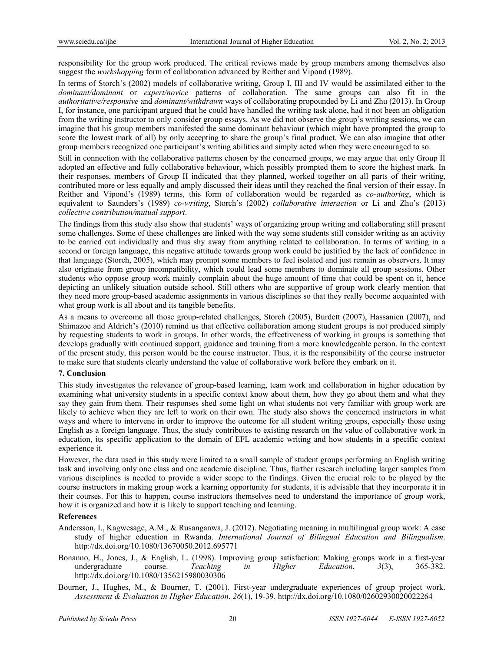responsibility for the group work produced. The critical reviews made by group members among themselves also suggest the *workshopping* form of collaboration advanced by Reither and Vipond (1989).

In terms of Storch's (2002) models of collaborative writing, Group I, III and IV would be assimilated either to the *dominant/dominant* or *expert/novice* patterns of collaboration. The same groups can also fit in the *authoritative/responsive* and *dominant/withdrawn* ways of collaborating propounded by Li and Zhu (2013). In Group I, for instance, one participant argued that he could have handled the writing task alone, had it not been an obligation from the writing instructor to only consider group essays. As we did not observe the group's writing sessions, we can imagine that his group members manifested the same dominant behaviour (which might have prompted the group to score the lowest mark of all) by only accepting to share the group's final product. We can also imagine that other group members recognized one participant's writing abilities and simply acted when they were encouraged to so.

Still in connection with the collaborative patterns chosen by the concerned groups, we may argue that only Group II adopted an effective and fully collaborative behaviour, which possibly prompted them to score the highest mark. In their responses, members of Group II indicated that they planned, worked together on all parts of their writing, contributed more or less equally and amply discussed their ideas until they reached the final version of their essay. In Reither and Vipond's (1989) terms, this form of collaboration would be regarded as *co-authoring*, which is equivalent to Saunders's (1989) *co-writing*, Storch's (2002) *collaborative interaction* or Li and Zhu's (2013) *collective contribution/mutual support*.

The findings from this study also show that students' ways of organizing group writing and collaborating still present some challenges. Some of these challenges are linked with the way some students still consider writing as an activity to be carried out individually and thus shy away from anything related to collaboration. In terms of writing in a second or foreign language, this negative attitude towards group work could be justified by the lack of confidence in that language (Storch, 2005), which may prompt some members to feel isolated and just remain as observers. It may also originate from group incompatibility, which could lead some members to dominate all group sessions. Other students who oppose group work mainly complain about the huge amount of time that could be spent on it, hence depicting an unlikely situation outside school. Still others who are supportive of group work clearly mention that they need more group-based academic assignments in various disciplines so that they really become acquainted with what group work is all about and its tangible benefits.

As a means to overcome all those group-related challenges, Storch (2005), Burdett (2007), Hassanien (2007), and Shimazoe and Aldrich's (2010) remind us that effective collaboration among student groups is not produced simply by requesting students to work in groups. In other words, the effectiveness of working in groups is something that develops gradually with continued support, guidance and training from a more knowledgeable person. In the context of the present study, this person would be the course instructor. Thus, it is the responsibility of the course instructor to make sure that students clearly understand the value of collaborative work before they embark on it.

## **7. Conclusion**

This study investigates the relevance of group-based learning, team work and collaboration in higher education by examining what university students in a specific context know about them, how they go about them and what they say they gain from them. Their responses shed some light on what students not very familiar with group work are likely to achieve when they are left to work on their own. The study also shows the concerned instructors in what ways and where to intervene in order to improve the outcome for all student writing groups, especially those using English as a foreign language. Thus, the study contributes to existing research on the value of collaborative work in education, its specific application to the domain of EFL academic writing and how students in a specific context experience it.

However, the data used in this study were limited to a small sample of student groups performing an English writing task and involving only one class and one academic discipline. Thus, further research including larger samples from various disciplines is needed to provide a wider scope to the findings. Given the crucial role to be played by the course instructors in making group work a learning opportunity for students, it is advisable that they incorporate it in their courses. For this to happen, course instructors themselves need to understand the importance of group work, how it is organized and how it is likely to support teaching and learning.

### **References**

- Andersson, I., Kagwesage, A.M., & Rusanganwa, J. (2012). Negotiating meaning in multilingual group work: A case study of higher education in Rwanda. *International Journal of Bilingual Education and Bilingualism*. http://dx.doi.org/10.1080/13670050.2012.695771
- Bonanno, H., Jones, J., & English, L. (1998). Improving group satisfaction: Making groups work in a first-year undergraduate course. *Teaching in Higher Education*, *3*(3), 365-382. http://dx.doi.org/10.1080/1356215980030306
- Bourner, J., Hughes, M., & Bourner, T. (2001). First-year undergraduate experiences of group project work. *Assessment & Evaluation in Higher Education*, *26*(1), 19-39. http://dx.doi.org/10.1080/02602930020022264